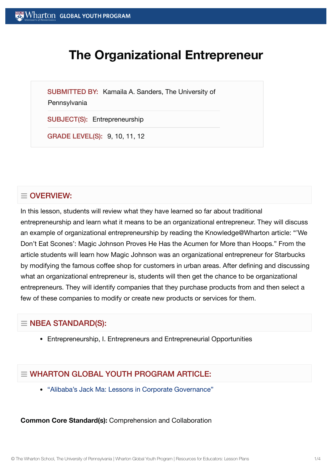# **The Organizational Entrepreneur**

SUBMITTED BY: Kamaila A. Sanders, The University of

#### **Pennsylvania**

SUBJECT(S): Entrepreneurship

GRADE LEVEL(S): 9, 10, 11, 12

## $\equiv$  OVERVIEW:

In this lesson, students will review what they have learned so far about traditional entrepreneurship and learn what it means to be an organizational entrepreneur. They will discuss an example of organizational entrepreneurship by reading the Knowledge@Wharton article: "'We Don't Eat Scones': Magic Johnson Proves He Has the Acumen for More than Hoops." From the article students will learn how Magic Johnson was an organizational entrepreneur for Starbucks by modifying the famous coffee shop for customers in urban areas. After defining and discussing what an organizational entrepreneur is, students will then get the chance to be organizational entrepreneurs. They will identify companies that they purchase products from and then select a few of these companies to modify or create new products or services for them.

## $\equiv$  NBEA STANDARD(S):

Entrepreneurship, I. Entrepreneurs and Entrepreneurial Opportunities

## $=$  WHARTON GLOBAL YOUTH PROGRAM ARTICLE:

["Alibaba's Jack](https://globalyouth.wharton.upenn.edu/articles/alibabas-jack-ma-lessons-corporate-governance/) Ma: Lessons in Corporate Governance"

#### **Common Core Standard(s):** Comprehension and Collaboration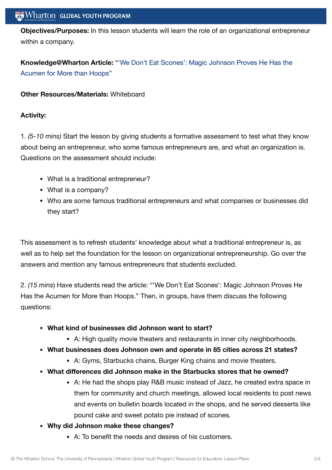**Objectives/Purposes:** In this lesson students will learn the role of an organizational entrepreneur within a company.

**[Knowledge@Wharton](http://knowledge.wharton.upenn.edu/article.cfm?articleid=2470) Article:** "'We Don't Eat Scones': Magic Johnson Proves He Has the Acumen for More than Hoops"

### **Other Resources/Materials:** Whiteboard

### **Activity:**

1. *(5-10 mins)* Start the lesson by giving students a formative assessment to test what they know about being an entrepreneur, who some famous entrepreneurs are, and what an organization is. Questions on the assessment should include:

- What is a traditional entrepreneur?
- What is a company?
- Who are some famous traditional entrepreneurs and what companies or businesses did they start?

This assessment is to refresh students' knowledge about what a traditional entrepreneur is, as well as to help set the foundation for the lesson on organizational entrepreneurship. Go over the answers and mention any famous entrepreneurs that students excluded.

2. *(15 mins*) Have students read the article: "'We Don't Eat Scones': Magic Johnson Proves He Has the Acumen for More than Hoops." Then, in groups, have them discuss the following questions:

- **What kind of businesses did Johnson want to start?**
	- A: High quality movie theaters and restaurants in inner city neighborhoods.
- **What businesses does Johnson own and operate in 85 cities across 21 states?**
	- A: Gyms, Starbucks chains, Burger King chains and movie theaters.
- **What differences did Johnson make in the Starbucks stores that he owned?**
	- A: He had the shops play R&B music instead of Jazz, he created extra space in them for community and church meetings, allowed local residents to post news and events on bulletin boards located in the shops, and he served desserts like pound cake and sweet potato pie instead of scones.
- **Why did Johnson make these changes?**
	- A: To benefit the needs and desires of his customers.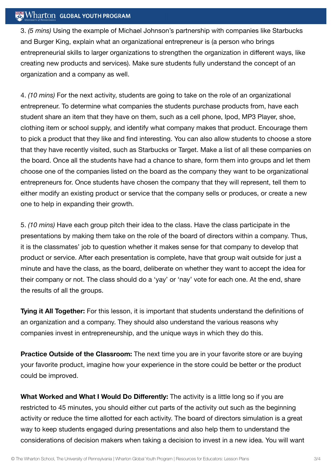### $\mathbb{R}$  Wharton Global Youth Program

3. *(5 mins)* Using the example of Michael Johnson's partnership with companies like Starbucks and Burger King, explain what an organizational entrepreneur is (a person who brings entrepreneurial skills to larger organizations to strengthen the organization in different ways, like creating new products and services). Make sure students fully understand the concept of an organization and a company as well.

4. *(10 mins)* For the next activity, students are going to take on the role of an organizational entrepreneur. To determine what companies the students purchase products from, have each student share an item that they have on them, such as a cell phone, Ipod, MP3 Player, shoe, clothing item or school supply, and identify what company makes that product. Encourage them to pick a product that they like and find interesting. You can also allow students to choose a store that they have recently visited, such as Starbucks or Target. Make a list of all these companies on the board. Once all the students have had a chance to share, form them into groups and let them choose one of the companies listed on the board as the company they want to be organizational entrepreneurs for. Once students have chosen the company that they will represent, tell them to either modify an existing product or service that the company sells or produces, or create a new one to help in expanding their growth.

5. *(10 mins)* Have each group pitch their idea to the class. Have the class participate in the presentations by making them take on the role of the board of directors within a company. Thus, it is the classmates' job to question whether it makes sense for that company to develop that product or service. After each presentation is complete, have that group wait outside for just a minute and have the class, as the board, deliberate on whether they want to accept the idea for their company or not. The class should do a 'yay' or 'nay' vote for each one. At the end, share the results of all the groups.

**Tying it All Together:** For this lesson, it is important that students understand the definitions of an organization and a company. They should also understand the various reasons why companies invest in entrepreneurship, and the unique ways in which they do this.

**Practice Outside of the Classroom:** The next time you are in your favorite store or are buying your favorite product, imagine how your experience in the store could be better or the product could be improved.

**What Worked and What I Would Do Differently:** The activity is a little long so if you are restricted to 45 minutes, you should either cut parts of the activity out such as the beginning activity or reduce the time allotted for each activity. The board of directors simulation is a great way to keep students engaged during presentations and also help them to understand the considerations of decision makers when taking a decision to invest in a new idea. You will want